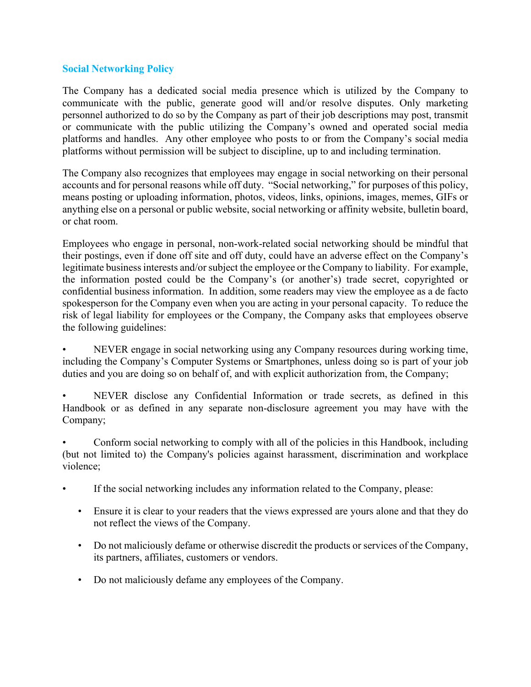## **Social Networking Policy**

The Company has a dedicated social media presence which is utilized by the Company to communicate with the public, generate good will and/or resolve disputes. Only marketing personnel authorized to do so by the Company as part of their job descriptions may post, transmit or communicate with the public utilizing the Company's owned and operated social media platforms and handles. Any other employee who posts to or from the Company's social media platforms without permission will be subject to discipline, up to and including termination.

The Company also recognizes that employees may engage in social networking on their personal accounts and for personal reasons while off duty. "Social networking," for purposes of this policy, means posting or uploading information, photos, videos, links, opinions, images, memes, GIFs or anything else on a personal or public website, social networking or affinity website, bulletin board, or chat room.

Employees who engage in personal, non-work-related social networking should be mindful that their postings, even if done off site and off duty, could have an adverse effect on the Company's legitimate business interests and/or subject the employee or the Company to liability. For example, the information posted could be the Company's (or another's) trade secret, copyrighted or confidential business information. In addition, some readers may view the employee as a de facto spokesperson for the Company even when you are acting in your personal capacity. To reduce the risk of legal liability for employees or the Company, the Company asks that employees observe the following guidelines:

• NEVER engage in social networking using any Company resources during working time, including the Company's Computer Systems or Smartphones, unless doing so is part of your job duties and you are doing so on behalf of, and with explicit authorization from, the Company;

NEVER disclose any Confidential Information or trade secrets, as defined in this Handbook or as defined in any separate non-disclosure agreement you may have with the Company;

• Conform social networking to comply with all of the policies in this Handbook, including (but not limited to) the Company's policies against harassment, discrimination and workplace violence;

- If the social networking includes any information related to the Company, please:
	- Ensure it is clear to your readers that the views expressed are yours alone and that they do not reflect the views of the Company.
	- Do not maliciously defame or otherwise discredit the products or services of the Company, its partners, affiliates, customers or vendors.
	- Do not maliciously defame any employees of the Company.